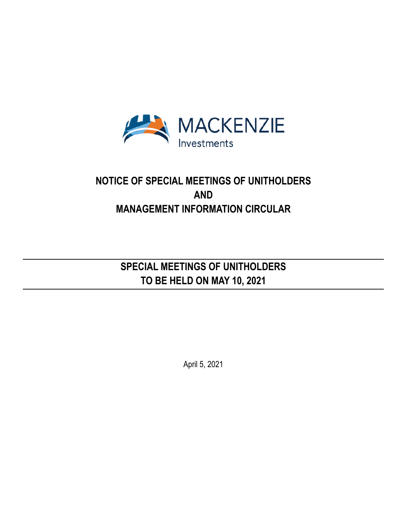

# **NOTICE OF SPECIAL MEETINGS OF UNITHOLDERS AND MANAGEMENT INFORMATION CIRCULAR**

# **SPECIAL MEETINGS OF UNITHOLDERS TO BE HELD ON MAY 10, 2021**

April 5, 2021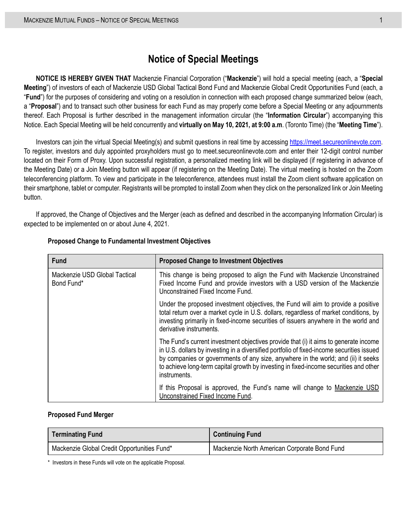### **Notice of Special Meetings**

**NOTICE IS HEREBY GIVEN THAT** Mackenzie Financial Corporation ("**Mackenzie**") will hold a special meeting (each, a "**Special Meeting**") of investors of each of Mackenzie USD Global Tactical Bond Fund and Mackenzie Global Credit Opportunities Fund (each, a "**Fund**") for the purposes of considering and voting on a resolution in connection with each proposed change summarized below (each, a "**Proposal**") and to transact such other business for each Fund as may properly come before a Special Meeting or any adjournments thereof. Each Proposal is further described in the management information circular (the "**Information Circular**") accompanying this Notice. Each Special Meeting will be held concurrently and **virtually on May 10, 2021, at 9:00 a.m**. (Toronto Time) (the "**Meeting Time**").

Investors can join the virtual Special Meeting(s) and submit questions in real time by accessing [https://meet.secureonlinevote.com.](https://meet.secureonlinevote.com/)  To register, investors and duly appointed proxyholders must go to meet.secureonlinevote.com and enter their 12-digit control number located on their Form of Proxy. Upon successful registration, a personalized meeting link will be displayed (if registering in advance of the Meeting Date) or a Join Meeting button will appear (if registering on the Meeting Date). The virtual meeting is hosted on the Zoom teleconferencing platform. To view and participate in the teleconference, attendees must install the Zoom client software application on their smartphone, tablet or computer. Registrants will be prompted to install Zoom when they click on the personalized link or Join Meeting button.

If approved, the Change of Objectives and the Merger (each as defined and described in the accompanying Information Circular) is expected to be implemented on or about June 4, 2021.

| <b>Fund</b>                                 | <b>Proposed Change to Investment Objectives</b>                                                                                                                                                                                                                                                                                                                                 |
|---------------------------------------------|---------------------------------------------------------------------------------------------------------------------------------------------------------------------------------------------------------------------------------------------------------------------------------------------------------------------------------------------------------------------------------|
| Mackenzie USD Global Tactical<br>Bond Fund* | This change is being proposed to align the Fund with Mackenzie Unconstrained<br>Fixed Income Fund and provide investors with a USD version of the Mackenzie<br>Unconstrained Fixed Income Fund.                                                                                                                                                                                 |
|                                             | Under the proposed investment objectives, the Fund will aim to provide a positive<br>total return over a market cycle in U.S. dollars, regardless of market conditions, by<br>investing primarily in fixed-income securities of issuers anywhere in the world and<br>derivative instruments.                                                                                    |
|                                             | The Fund's current investment objectives provide that (i) it aims to generate income<br>in U.S. dollars by investing in a diversified portfolio of fixed-income securities issued<br>by companies or governments of any size, anywhere in the world; and (ii) it seeks<br>to achieve long-term capital growth by investing in fixed-income securities and other<br>instruments. |
|                                             | If this Proposal is approved, the Fund's name will change to Mackenzie USD<br>Unconstrained Fixed Income Fund.                                                                                                                                                                                                                                                                  |

#### **Proposed Change to Fundamental Investment Objectives**

#### **Proposed Fund Merger**

| Terminating Fund                            | <b>Continuing Fund</b>                       |
|---------------------------------------------|----------------------------------------------|
| Mackenzie Global Credit Opportunities Fund* | Mackenzie North American Corporate Bond Fund |

\* Investors in these Funds will vote on the applicable Proposal.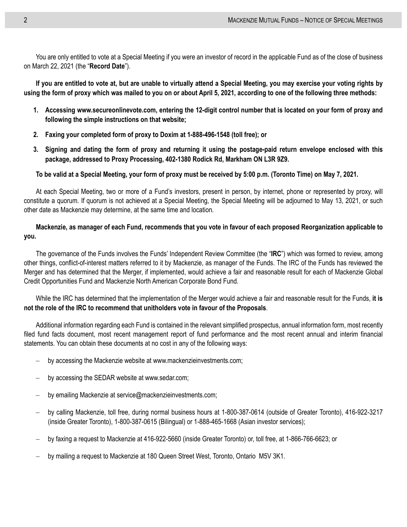You are only entitled to vote at a Special Meeting if you were an investor of record in the applicable Fund as of the close of business on March 22, 2021 (the "**Record Date**").

**If you are entitled to vote at, but are unable to virtually attend a Special Meeting, you may exercise your voting rights by using the form of proxy which was mailed to you on or about April 5, 2021, according to one of the following three methods:**

- **1. Accessing www.secureonlinevote.com, entering the 12-digit control number that is located on your form of proxy and following the simple instructions on that website;**
- **2. Faxing your completed form of proxy to Doxim at 1-888-496-1548 (toll free); or**
- **3. Signing and dating the form of proxy and returning it using the postage-paid return envelope enclosed with this package, addressed to Proxy Processing, 402-1380 Rodick Rd, Markham ON L3R 9Z9.**

#### **To be valid at a Special Meeting, your form of proxy must be received by 5:00 p.m. (Toronto Time) on May 7, 2021.**

At each Special Meeting, two or more of a Fund's investors, present in person, by internet, phone or represented by proxy, will constitute a quorum. If quorum is not achieved at a Special Meeting, the Special Meeting will be adjourned to May 13, 2021, or such other date as Mackenzie may determine, at the same time and location.

#### **Mackenzie, as manager of each Fund, recommends that you vote in favour of each proposed Reorganization applicable to you.**

The governance of the Funds involves the Funds' Independent Review Committee (the "**IRC**") which was formed to review, among other things, conflict-of-interest matters referred to it by Mackenzie, as manager of the Funds. The IRC of the Funds has reviewed the Merger and has determined that the Merger, if implemented, would achieve a fair and reasonable result for each of Mackenzie Global Credit Opportunities Fund and Mackenzie North American Corporate Bond Fund.

While the IRC has determined that the implementation of the Merger would achieve a fair and reasonable result for the Funds, **it is not the role of the IRC to recommend that unitholders vote in favour of the Proposals**.

Additional information regarding each Fund is contained in the relevant simplified prospectus, annual information form, most recently filed fund facts document, most recent management report of fund performance and the most recent annual and interim financial statements. You can obtain these documents at no cost in any of the following ways:

- by accessing the Mackenzie website at www.mackenzieinvestments.com;
- by accessing the SEDAR website at www.sedar.com;
- by emailing Mackenzie at service@mackenzieinvestments.com;
- by calling Mackenzie, toll free, during normal business hours at 1-800-387-0614 (outside of Greater Toronto), 416-922-3217 (inside Greater Toronto), 1-800-387-0615 (Bilingual) or 1-888-465-1668 (Asian investor services);
- by faxing a request to Mackenzie at 416-922-5660 (inside Greater Toronto) or, toll free, at 1-866-766-6623; or
- by mailing a request to Mackenzie at 180 Queen Street West, Toronto, Ontario M5V 3K1.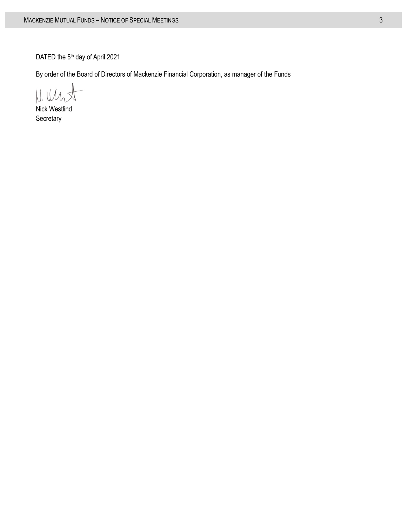DATED the 5<sup>th</sup> day of April 2021

By order of the Board of Directors of Mackenzie Financial Corporation, as manager of the Funds

N. Unt

Nick Westlind **Secretary**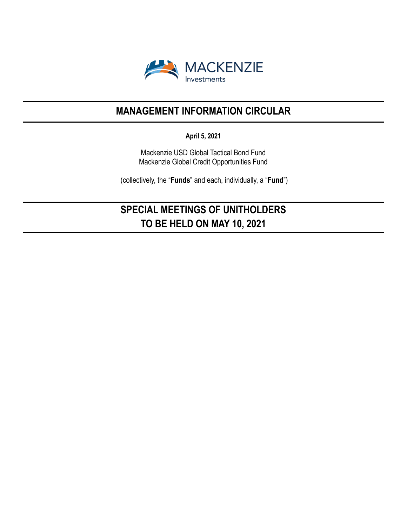

# **MANAGEMENT INFORMATION CIRCULAR**

**April 5, 2021**

Mackenzie USD Global Tactical Bond Fund Mackenzie Global Credit Opportunities Fund

(collectively, the "**Funds**" and each, individually, a "**Fund**")

# **SPECIAL MEETINGS OF UNITHOLDERS TO BE HELD ON MAY 10, 2021**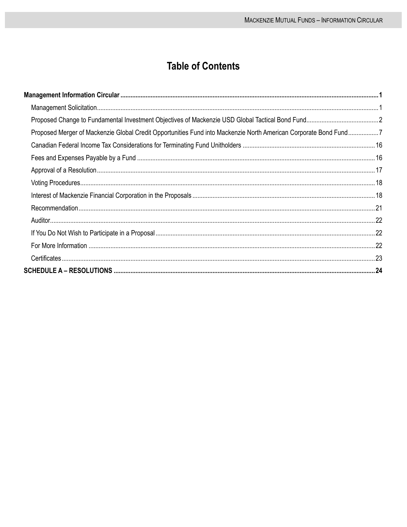# **Table of Contents**

| Proposed Merger of Mackenzie Global Credit Opportunities Fund into Mackenzie North American Corporate Bond Fund7 |  |
|------------------------------------------------------------------------------------------------------------------|--|
|                                                                                                                  |  |
|                                                                                                                  |  |
|                                                                                                                  |  |
|                                                                                                                  |  |
|                                                                                                                  |  |
|                                                                                                                  |  |
|                                                                                                                  |  |
|                                                                                                                  |  |
|                                                                                                                  |  |
|                                                                                                                  |  |
|                                                                                                                  |  |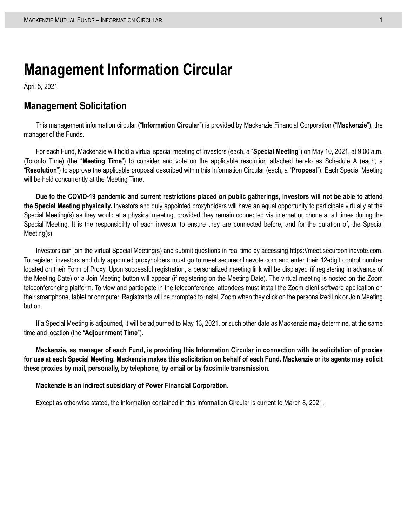# <span id="page-8-0"></span>**Management Information Circular**

April 5, 2021

### <span id="page-8-1"></span>**Management Solicitation**

This management information circular ("**Information Circular**") is provided by Mackenzie Financial Corporation ("**Mackenzie**"), the manager of the Funds.

For each Fund, Mackenzie will hold a virtual special meeting of investors (each, a "**Special Meeting**") on May 10, 2021, at 9:00 a.m. (Toronto Time) (the "**Meeting Time**") to consider and vote on the applicable resolution attached hereto as Schedule A (each, a "**Resolution**") to approve the applicable proposal described within this Information Circular (each, a "**Proposal**"). Each Special Meeting will be held concurrently at the Meeting Time.

**Due to the COVID-19 pandemic and current restrictions placed on public gatherings, investors will not be able to attend the Special Meeting physically.** Investors and duly appointed proxyholders will have an equal opportunity to participate virtually at the Special Meeting(s) as they would at a physical meeting, provided they remain connected via internet or phone at all times during the Special Meeting. It is the responsibility of each investor to ensure they are connected before, and for the duration of, the Special Meeting(s).

Investors can join the virtual Special Meeting(s) and submit questions in real time by accessing https://meet.secureonlinevote.com. To register, investors and duly appointed proxyholders must go to meet.secureonlinevote.com and enter their 12-digit control number located on their Form of Proxy. Upon successful registration, a personalized meeting link will be displayed (if registering in advance of the Meeting Date) or a Join Meeting button will appear (if registering on the Meeting Date). The virtual meeting is hosted on the Zoom teleconferencing platform. To view and participate in the teleconference, attendees must install the Zoom client software application on their smartphone, tablet or computer. Registrants will be prompted to install Zoom when they click on the personalized link or Join Meeting button.

If a Special Meeting is adjourned, it will be adjourned to May 13, 2021, or such other date as Mackenzie may determine, at the same time and location (the "**Adjournment Time**").

**Mackenzie, as manager of each Fund, is providing this Information Circular in connection with its solicitation of proxies for use at each Special Meeting. Mackenzie makes this solicitation on behalf of each Fund. Mackenzie or its agents may solicit these proxies by mail, personally, by telephone, by email or by facsimile transmission.**

#### **Mackenzie is an indirect subsidiary of Power Financial Corporation.**

Except as otherwise stated, the information contained in this Information Circular is current to March 8, 2021.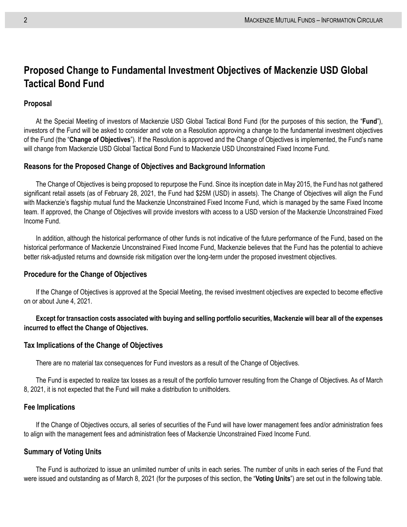# <span id="page-9-0"></span>**Proposed Change to Fundamental Investment Objectives of Mackenzie USD Global Tactical Bond Fund**

#### **Proposal**

At the Special Meeting of investors of Mackenzie USD Global Tactical Bond Fund (for the purposes of this section, the "**Fund**"), investors of the Fund will be asked to consider and vote on a Resolution approving a change to the fundamental investment objectives of the Fund (the "**Change of Objectives**"). If the Resolution is approved and the Change of Objectives is implemented, the Fund's name will change from Mackenzie USD Global Tactical Bond Fund to Mackenzie USD Unconstrained Fixed Income Fund.

#### **Reasons for the Proposed Change of Objectives and Background Information**

The Change of Objectives is being proposed to repurpose the Fund. Since its inception date in May 2015, the Fund has not gathered significant retail assets (as of February 28, 2021, the Fund had \$25M (USD) in assets). The Change of Objectives will align the Fund with Mackenzie's flagship mutual fund the Mackenzie Unconstrained Fixed Income Fund, which is managed by the same Fixed Income team. If approved, the Change of Objectives will provide investors with access to a USD version of the Mackenzie Unconstrained Fixed Income Fund.

In addition, although the historical performance of other funds is not indicative of the future performance of the Fund, based on the historical performance of Mackenzie Unconstrained Fixed Income Fund, Mackenzie believes that the Fund has the potential to achieve better risk-adjusted returns and downside risk mitigation over the long-term under the proposed investment objectives.

#### **Procedure for the Change of Objectives**

If the Change of Objectives is approved at the Special Meeting, the revised investment objectives are expected to become effective on or about June 4, 2021.

**Except for transaction costs associated with buying and selling portfolio securities, Mackenzie will bear all of the expenses incurred to effect the Change of Objectives.**

#### **Tax Implications of the Change of Objectives**

There are no material tax consequences for Fund investors as a result of the Change of Objectives.

The Fund is expected to realize tax losses as a result of the portfolio turnover resulting from the Change of Objectives. As of March 8, 2021, it is not expected that the Fund will make a distribution to unitholders.

#### **Fee Implications**

If the Change of Objectives occurs, all series of securities of the Fund will have lower management fees and/or administration fees to align with the management fees and administration fees of Mackenzie Unconstrained Fixed Income Fund.

#### **Summary of Voting Units**

The Fund is authorized to issue an unlimited number of units in each series. The number of units in each series of the Fund that were issued and outstanding as of March 8, 2021 (for the purposes of this section, the "**Voting Units**") are set out in the following table.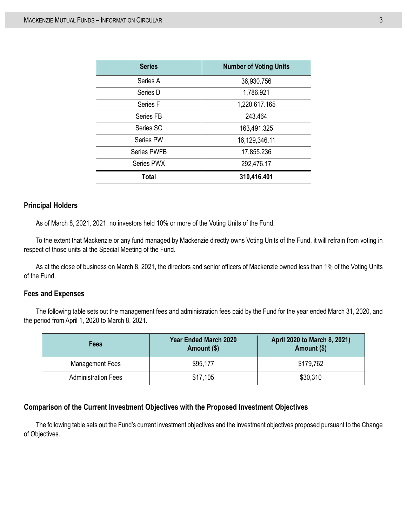| <b>Series</b>      | <b>Number of Voting Units</b> |
|--------------------|-------------------------------|
| Series A           | 36,930.756                    |
| Series D           | 1,786.921                     |
| Series F           | 1,220,617.165                 |
| Series FB          | 243.464                       |
| Series SC          | 163,491.325                   |
| Series PW          | 16,129,346.11                 |
| <b>Series PWFB</b> | 17,855.236                    |
| Series PWX         | 292,476.17                    |
| Total              | 310,416.401                   |

#### **Principal Holders**

As of March 8, 2021, 2021, no investors held 10% or more of the Voting Units of the Fund.

To the extent that Mackenzie or any fund managed by Mackenzie directly owns Voting Units of the Fund, it will refrain from voting in respect of those units at the Special Meeting of the Fund.

As at the close of business on March 8, 2021, the directors and senior officers of Mackenzie owned less than 1% of the Voting Units of the Fund.

#### **Fees and Expenses**

The following table sets out the management fees and administration fees paid by the Fund for the year ended March 31, 2020, and the period from April 1, 2020 to March 8, 2021.

| <b>Fees</b>                | <b>Year Ended March 2020</b><br>Amount (\$) | April 2020 to March 8, 2021)<br>Amount (\$) |
|----------------------------|---------------------------------------------|---------------------------------------------|
| Management Fees            | \$95,177                                    | \$179,762                                   |
| <b>Administration Fees</b> | \$17,105                                    | \$30,310                                    |

#### **Comparison of the Current Investment Objectives with the Proposed Investment Objectives**

The following table sets out the Fund's current investment objectives and the investment objectives proposed pursuant to the Change of Objectives.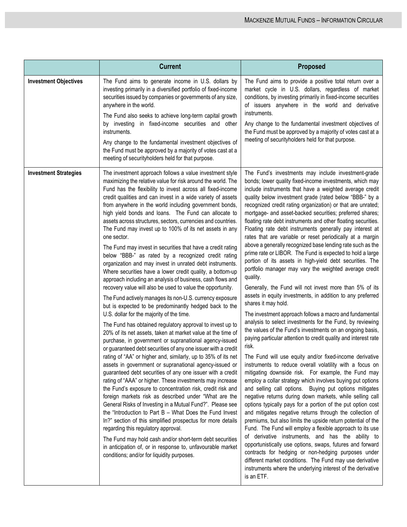|                              | <b>Current</b>                                                                                                                                                                                                                                                                                                                                                                                                                                                                                                                                                                                                                                                                                                                                                                                                                                                                                                                                                                                                                                                                                                                                                                                                                                                                                                                                                                                                                                                                                                                                                                                                                                                                                                                                                                                                                                                                                                                                                                                                                                                                                              | <b>Proposed</b>                                                                                                                                                                                                                                                                                                                                                                                                                                                                                                                                                                                                                                                                                                                                                                                                                                                                                                                                                                                                                                                                                                                                                                                                                                                                                                                                                                                                                                                                                                                                                                                                                                                                                                                                                                                                                                                                                                                                                                                                                                                                                                                                                                      |
|------------------------------|-------------------------------------------------------------------------------------------------------------------------------------------------------------------------------------------------------------------------------------------------------------------------------------------------------------------------------------------------------------------------------------------------------------------------------------------------------------------------------------------------------------------------------------------------------------------------------------------------------------------------------------------------------------------------------------------------------------------------------------------------------------------------------------------------------------------------------------------------------------------------------------------------------------------------------------------------------------------------------------------------------------------------------------------------------------------------------------------------------------------------------------------------------------------------------------------------------------------------------------------------------------------------------------------------------------------------------------------------------------------------------------------------------------------------------------------------------------------------------------------------------------------------------------------------------------------------------------------------------------------------------------------------------------------------------------------------------------------------------------------------------------------------------------------------------------------------------------------------------------------------------------------------------------------------------------------------------------------------------------------------------------------------------------------------------------------------------------------------------------|--------------------------------------------------------------------------------------------------------------------------------------------------------------------------------------------------------------------------------------------------------------------------------------------------------------------------------------------------------------------------------------------------------------------------------------------------------------------------------------------------------------------------------------------------------------------------------------------------------------------------------------------------------------------------------------------------------------------------------------------------------------------------------------------------------------------------------------------------------------------------------------------------------------------------------------------------------------------------------------------------------------------------------------------------------------------------------------------------------------------------------------------------------------------------------------------------------------------------------------------------------------------------------------------------------------------------------------------------------------------------------------------------------------------------------------------------------------------------------------------------------------------------------------------------------------------------------------------------------------------------------------------------------------------------------------------------------------------------------------------------------------------------------------------------------------------------------------------------------------------------------------------------------------------------------------------------------------------------------------------------------------------------------------------------------------------------------------------------------------------------------------------------------------------------------------|
| <b>Investment Objectives</b> | The Fund aims to generate income in U.S. dollars by<br>investing primarily in a diversified portfolio of fixed-income<br>securities issued by companies or governments of any size,<br>anywhere in the world.<br>The Fund also seeks to achieve long-term capital growth<br>by investing in fixed-income securities and other<br>instruments.<br>Any change to the fundamental investment objectives of<br>the Fund must be approved by a majority of votes cast at a<br>meeting of securityholders held for that purpose.                                                                                                                                                                                                                                                                                                                                                                                                                                                                                                                                                                                                                                                                                                                                                                                                                                                                                                                                                                                                                                                                                                                                                                                                                                                                                                                                                                                                                                                                                                                                                                                  | The Fund aims to provide a positive total return over a<br>market cycle in U.S. dollars, regardless of market<br>conditions, by investing primarily in fixed-income securities<br>of issuers anywhere in the world and derivative<br>instruments.<br>Any change to the fundamental investment objectives of<br>the Fund must be approved by a majority of votes cast at a<br>meeting of securityholders held for that purpose.                                                                                                                                                                                                                                                                                                                                                                                                                                                                                                                                                                                                                                                                                                                                                                                                                                                                                                                                                                                                                                                                                                                                                                                                                                                                                                                                                                                                                                                                                                                                                                                                                                                                                                                                                       |
| <b>Investment Strategies</b> | The investment approach follows a value investment style<br>maximizing the relative value for risk around the world. The<br>Fund has the flexibility to invest across all fixed-income<br>credit qualities and can invest in a wide variety of assets<br>from anywhere in the world including government bonds,<br>high yield bonds and loans. The Fund can allocate to<br>assets across structures, sectors, currencies and countries.<br>The Fund may invest up to 100% of its net assets in any<br>one sector.<br>The Fund may invest in securities that have a credit rating<br>below "BBB-" as rated by a recognized credit rating<br>organization and may invest in unrated debt instruments.<br>Where securities have a lower credit quality, a bottom-up<br>approach including an analysis of business, cash flows and<br>recovery value will also be used to value the opportunity.<br>The Fund actively manages its non-U.S. currency exposure<br>but is expected to be predominantly hedged back to the<br>U.S. dollar for the majority of the time.<br>The Fund has obtained regulatory approval to invest up to<br>20% of its net assets, taken at market value at the time of<br>purchase, in government or supranational agency-issued<br>or guaranteed debt securities of any one issuer with a credit<br>rating of "AA" or higher and, similarly, up to 35% of its net<br>assets in government or supranational agency-issued or<br>guaranteed debt securities of any one issuer with a credit<br>rating of "AAA" or higher. These investments may increase<br>the Fund's exposure to concentration risk, credit risk and<br>foreign markets risk as described under "What are the<br>General Risks of Investing in a Mutual Fund?". Please see<br>the "Introduction to Part $B - What$ Does the Fund Invest<br>In?" section of this simplified prospectus for more details<br>regarding this regulatory approval.<br>The Fund may hold cash and/or short-term debt securities<br>in anticipation of, or in response to, unfavourable market<br>conditions; and/or for liquidity purposes. | The Fund's investments may include investment-grade<br>bonds; lower quality fixed-income investments, which may<br>include instruments that have a weighted average credit<br>quality below investment grade (rated below "BBB-" by a<br>recognized credit rating organization) or that are unrated;<br>mortgage- and asset-backed securities; preferred shares;<br>floating rate debt instruments and other floating securities.<br>Floating rate debt instruments generally pay interest at<br>rates that are variable or reset periodically at a margin<br>above a generally recognized base lending rate such as the<br>prime rate or LIBOR. The Fund is expected to hold a large<br>portion of its assets in high-yield debt securities. The<br>portfolio manager may vary the weighted average credit<br>quality.<br>Generally, the Fund will not invest more than 5% of its<br>assets in equity investments, in addition to any preferred<br>shares it may hold.<br>The investment approach follows a macro and fundamental<br>analysis to select investments for the Fund, by reviewing<br>the values of the Fund's investments on an ongoing basis,<br>paying particular attention to credit quality and interest rate<br>risk.<br>The Fund will use equity and/or fixed-income derivative<br>instruments to reduce overall volatility with a focus on<br>mitigating downside risk. For example, the Fund may<br>employ a collar strategy which involves buying put options<br>and selling call options. Buying put options mitigates<br>negative returns during down markets, while selling call<br>options typically pays for a portion of the put option cost<br>and mitigates negative returns through the collection of<br>premiums, but also limits the upside return potential of the<br>Fund. The Fund will employ a flexible approach to its use<br>of derivative instruments, and has the ability to<br>opportunistically use options, swaps, futures and forward<br>contracts for hedging or non-hedging purposes under<br>different market conditions. The Fund may use derivative<br>instruments where the underlying interest of the derivative<br>is an ETF. |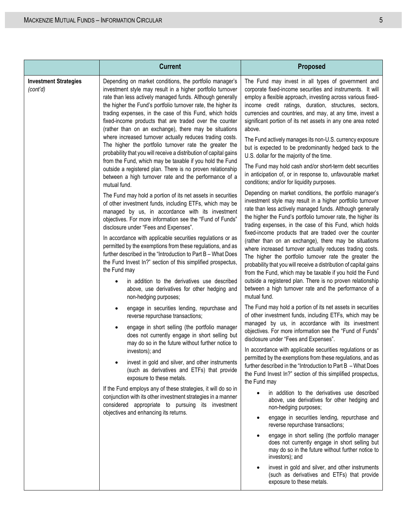|                                          | <b>Current</b>                                                                                                                                                                                                                                                                                                                                                                                                                                                                                                                                                                                                                                                                                                                                                                                                                  | <b>Proposed</b>                                                                                                                                                                                                                                                                                                                                                                                                                                                                                                                                                                                                                                                                                                                                                                                                                                                                                                                                                                                                                                                                     |
|------------------------------------------|---------------------------------------------------------------------------------------------------------------------------------------------------------------------------------------------------------------------------------------------------------------------------------------------------------------------------------------------------------------------------------------------------------------------------------------------------------------------------------------------------------------------------------------------------------------------------------------------------------------------------------------------------------------------------------------------------------------------------------------------------------------------------------------------------------------------------------|-------------------------------------------------------------------------------------------------------------------------------------------------------------------------------------------------------------------------------------------------------------------------------------------------------------------------------------------------------------------------------------------------------------------------------------------------------------------------------------------------------------------------------------------------------------------------------------------------------------------------------------------------------------------------------------------------------------------------------------------------------------------------------------------------------------------------------------------------------------------------------------------------------------------------------------------------------------------------------------------------------------------------------------------------------------------------------------|
| <b>Investment Strategies</b><br>(cont'd) | Depending on market conditions, the portfolio manager's<br>investment style may result in a higher portfolio turnover<br>rate than less actively managed funds. Although generally<br>the higher the Fund's portfolio turnover rate, the higher its<br>trading expenses, in the case of this Fund, which holds<br>fixed-income products that are traded over the counter<br>(rather than on an exchange), there may be situations<br>where increased turnover actually reduces trading costs.<br>The higher the portfolio turnover rate the greater the<br>probability that you will receive a distribution of capital gains<br>from the Fund, which may be taxable if you hold the Fund<br>outside a registered plan. There is no proven relationship<br>between a high turnover rate and the performance of a<br>mutual fund. | The Fund may invest in all types of government and<br>corporate fixed-income securities and instruments. It will<br>employ a flexible approach, investing across various fixed-<br>income credit ratings, duration, structures, sectors,<br>currencies and countries, and may, at any time, invest a<br>significant portion of its net assets in any one area noted<br>above.<br>The Fund actively manages its non-U.S. currency exposure<br>but is expected to be predominantly hedged back to the<br>U.S. dollar for the majority of the time.<br>The Fund may hold cash and/or short-term debt securities<br>in anticipation of, or in response to, unfavourable market<br>conditions; and/or for liquidity purposes.                                                                                                                                                                                                                                                                                                                                                            |
|                                          | The Fund may hold a portion of its net assets in securities<br>of other investment funds, including ETFs, which may be<br>managed by us, in accordance with its investment<br>objectives. For more information see the "Fund of Funds"<br>disclosure under "Fees and Expenses".<br>In accordance with applicable securities regulations or as<br>permitted by the exemptions from these regulations, and as<br>further described in the "Introduction to Part B - What Does<br>the Fund Invest In?" section of this simplified prospectus,<br>the Fund may<br>in addition to the derivatives use described<br>above, use derivatives for other hedging and<br>non-hedging purposes;                                                                                                                                             | Depending on market conditions, the portfolio manager's<br>investment style may result in a higher portfolio turnover<br>rate than less actively managed funds. Although generally<br>the higher the Fund's portfolio turnover rate, the higher its<br>trading expenses, in the case of this Fund, which holds<br>fixed-income products that are traded over the counter<br>(rather than on an exchange), there may be situations<br>where increased turnover actually reduces trading costs.<br>The higher the portfolio turnover rate the greater the<br>probability that you will receive a distribution of capital gains<br>from the Fund, which may be taxable if you hold the Fund<br>outside a registered plan. There is no proven relationship<br>between a high turnover rate and the performance of a<br>mutual fund.                                                                                                                                                                                                                                                     |
|                                          | engage in securities lending, repurchase and<br>reverse repurchase transactions;<br>engage in short selling (the portfolio manager<br>does not currently engage in short selling but<br>may do so in the future without further notice to<br>investors); and<br>invest in gold and silver, and other instruments<br>(such as derivatives and ETFs) that provide<br>exposure to these metals.<br>If the Fund employs any of these strategies, it will do so in<br>conjunction with its other investment strategies in a manner<br>considered appropriate to pursuing its investment<br>objectives and enhancing its returns.                                                                                                                                                                                                     | The Fund may hold a portion of its net assets in securities<br>of other investment funds, including ETFs, which may be<br>managed by us, in accordance with its investment<br>objectives. For more information see the "Fund of Funds"<br>disclosure under "Fees and Expenses".<br>In accordance with applicable securities regulations or as<br>permitted by the exemptions from these regulations, and as<br>further described in the "Introduction to Part B - What Does<br>the Fund Invest In?" section of this simplified prospectus,<br>the Fund may<br>in addition to the derivatives use described<br>above, use derivatives for other hedging and<br>non-hedging purposes;<br>engage in securities lending, repurchase and<br>reverse repurchase transactions;<br>engage in short selling (the portfolio manager<br>does not currently engage in short selling but<br>may do so in the future without further notice to<br>investors); and<br>invest in gold and silver, and other instruments<br>(such as derivatives and ETFs) that provide<br>exposure to these metals. |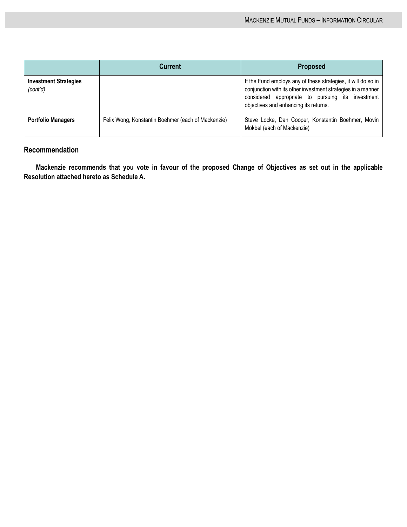|                                          | <b>Current</b>                                     | <b>Proposed</b>                                                                                                                                                                                                             |
|------------------------------------------|----------------------------------------------------|-----------------------------------------------------------------------------------------------------------------------------------------------------------------------------------------------------------------------------|
| <b>Investment Strategies</b><br>(cont'd) |                                                    | If the Fund employs any of these strategies, it will do so in<br>conjunction with its other investment strategies in a manner<br>considered appropriate to pursuing its investment<br>objectives and enhancing its returns. |
| <b>Portfolio Managers</b>                | Felix Wong, Konstantin Boehmer (each of Mackenzie) | Steve Locke, Dan Cooper, Konstantin Boehmer, Movin<br>Mokbel (each of Mackenzie)                                                                                                                                            |

### **Recommendation**

**Mackenzie recommends that you vote in favour of the proposed Change of Objectives as set out in the applicable Resolution attached hereto as Schedule A.**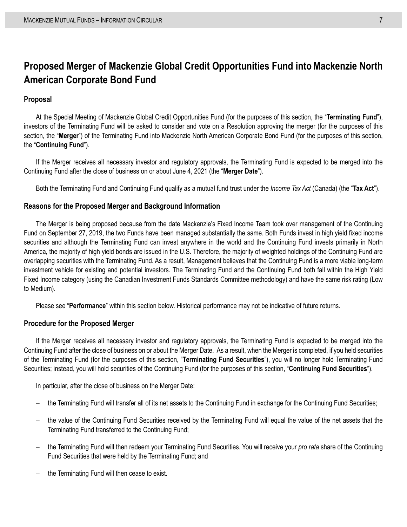# <span id="page-14-0"></span>**Proposed Merger of Mackenzie Global Credit Opportunities Fund into Mackenzie North American Corporate Bond Fund**

#### **Proposal**

At the Special Meeting of Mackenzie Global Credit Opportunities Fund (for the purposes of this section, the "**Terminating Fund**"), investors of the Terminating Fund will be asked to consider and vote on a Resolution approving the merger (for the purposes of this section, the "**Merger**") of the Terminating Fund into Mackenzie North American Corporate Bond Fund (for the purposes of this section, the "**Continuing Fund**").

If the Merger receives all necessary investor and regulatory approvals, the Terminating Fund is expected to be merged into the Continuing Fund after the close of business on or about June 4, 2021 (the "**Merger Date**").

Both the Terminating Fund and Continuing Fund qualify as a mutual fund trust under the *Income Tax Act* (Canada) (the "**Tax Act**").

#### **Reasons for the Proposed Merger and Background Information**

The Merger is being proposed because from the date Mackenzie's Fixed Income Team took over management of the Continuing Fund on September 27, 2019, the two Funds have been managed substantially the same. Both Funds invest in high yield fixed income securities and although the Terminating Fund can invest anywhere in the world and the Continuing Fund invests primarily in North America, the majority of high yield bonds are issued in the U.S. Therefore, the majority of weighted holdings of the Continuing Fund are overlapping securities with the Terminating Fund. As a result, Management believes that the Continuing Fund is a more viable long-term investment vehicle for existing and potential investors. The Terminating Fund and the Continuing Fund both fall within the High Yield Fixed Income category (using the Canadian Investment Funds Standards Committee methodology) and have the same risk rating (Low to Medium).

Please see "**[Performance](#page-19-0)**" within this section below. Historical performance may not be indicative of future returns.

#### **Procedure for the Proposed Merger**

If the Merger receives all necessary investor and regulatory approvals, the Terminating Fund is expected to be merged into the Continuing Fund after the close of business on or about the Merger Date. As a result, when the Merger is completed, if you held securities of the Terminating Fund (for the purposes of this section, "**Terminating Fund Securities**"), you will no longer hold Terminating Fund Securities; instead, you will hold securities of the Continuing Fund (for the purposes of this section, "**Continuing Fund Securities**").

In particular, after the close of business on the Merger Date:

- the Terminating Fund will transfer all of its net assets to the Continuing Fund in exchange for the Continuing Fund Securities;
- the value of the Continuing Fund Securities received by the Terminating Fund will equal the value of the net assets that the Terminating Fund transferred to the Continuing Fund;
- the Terminating Fund will then redeem your Terminating Fund Securities. You will receive your *pro rata* share of the Continuing Fund Securities that were held by the Terminating Fund; and
- the Terminating Fund will then cease to exist.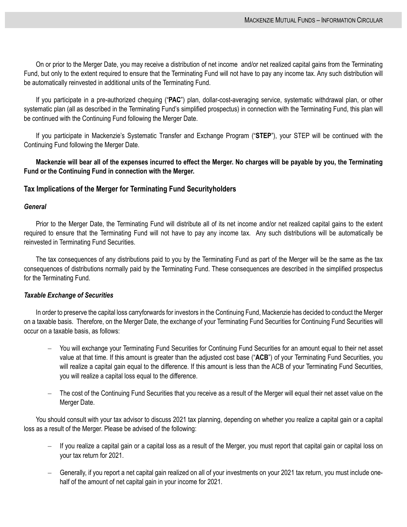On or prior to the Merger Date, you may receive a distribution of net income and/or net realized capital gains from the Terminating Fund, but only to the extent required to ensure that the Terminating Fund will not have to pay any income tax. Any such distribution will be automatically reinvested in additional units of the Terminating Fund.

If you participate in a pre-authorized chequing ("**PAC**") plan, dollar-cost-averaging service, systematic withdrawal plan, or other systematic plan (all as described in the Terminating Fund's simplified prospectus) in connection with the Terminating Fund, this plan will be continued with the Continuing Fund following the Merger Date.

If you participate in Mackenzie's Systematic Transfer and Exchange Program ("**STEP**"), your STEP will be continued with the Continuing Fund following the Merger Date.

**Mackenzie will bear all of the expenses incurred to effect the Merger. No charges will be payable by you, the Terminating Fund or the Continuing Fund in connection with the Merger.**

#### **Tax Implications of the Merger for Terminating Fund Securityholders**

#### *General*

Prior to the Merger Date, the Terminating Fund will distribute all of its net income and/or net realized capital gains to the extent required to ensure that the Terminating Fund will not have to pay any income tax. Any such distributions will be automatically be reinvested in Terminating Fund Securities.

The tax consequences of any distributions paid to you by the Terminating Fund as part of the Merger will be the same as the tax consequences of distributions normally paid by the Terminating Fund. These consequences are described in the simplified prospectus for the Terminating Fund.

#### *Taxable Exchange of Securities*

In order to preserve the capital loss carryforwards for investors in the Continuing Fund, Mackenzie has decided to conduct the Merger on a taxable basis. Therefore, on the Merger Date, the exchange of your Terminating Fund Securities for Continuing Fund Securities will occur on a taxable basis, as follows:

- You will exchange your Terminating Fund Securities for Continuing Fund Securities for an amount equal to their net asset value at that time. If this amount is greater than the adjusted cost base ("**ACB**") of your Terminating Fund Securities, you will realize a capital gain equal to the difference. If this amount is less than the ACB of your Terminating Fund Securities, you will realize a capital loss equal to the difference.
- The cost of the Continuing Fund Securities that you receive as a result of the Merger will equal their net asset value on the Merger Date.

You should consult with your tax advisor to discuss 2021 tax planning, depending on whether you realize a capital gain or a capital loss as a result of the Merger. Please be advised of the following:

- If you realize a capital gain or a capital loss as a result of the Merger, you must report that capital gain or capital loss on your tax return for 2021.
- Generally, if you report a net capital gain realized on all of your investments on your 2021 tax return, you must include onehalf of the amount of net capital gain in your income for 2021.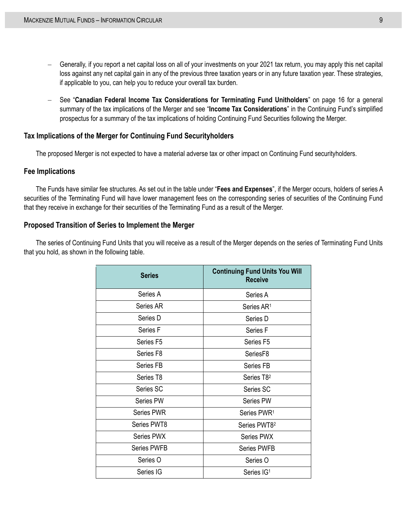- Generally, if you report a net capital loss on all of your investments on your 2021 tax return, you may apply this net capital loss against any net capital gain in any of the previous three taxation years or in any future taxation year. These strategies, if applicable to you, can help you to reduce your overall tax burden.
- See "**[Canadian Federal Income Tax Considerations for Terminating Fund Unitholders](#page-23-0)**" on page [16](#page-23-0) for a general summary of the tax implications of the Merger and see "**Income Tax Considerations**" in the Continuing Fund's simplified prospectus for a summary of the tax implications of holding Continuing Fund Securities following the Merger.

#### **Tax Implications of the Merger for Continuing Fund Securityholders**

The proposed Merger is not expected to have a material adverse tax or other impact on Continuing Fund securityholders.

#### **Fee Implications**

The Funds have similar fee structures. As set out in the table under "**[Fees and Expenses](#page-18-0)**", if the Merger occurs, holders of series A securities of the Terminating Fund will have lower management fees on the corresponding series of securities of the Continuing Fund that they receive in exchange for their securities of the Terminating Fund as a result of the Merger.

#### **Proposed Transition of Series to Implement the Merger**

The series of Continuing Fund Units that you will receive as a result of the Merger depends on the series of Terminating Fund Units that you hold, as shown in the following table.

| <b>Series</b> | <b>Continuing Fund Units You Will</b><br><b>Receive</b> |  |
|---------------|---------------------------------------------------------|--|
| Series A      | Series A                                                |  |
| Series AR     | Series AR <sup>1</sup>                                  |  |
| Series D      | Series D                                                |  |
| Series F      | Series F                                                |  |
| Series F5     | Series F5                                               |  |
| Series F8     | SeriesF8                                                |  |
| Series FB     | Series FB                                               |  |
| Series T8     | Series T82                                              |  |
| Series SC     | Series SC                                               |  |
| Series PW     | Series PW                                               |  |
| Series PWR    | Series PWR <sup>1</sup>                                 |  |
| Series PWT8   | Series PWT8 <sup>2</sup>                                |  |
| Series PWX    | Series PWX                                              |  |
| Series PWFB   | <b>Series PWFB</b>                                      |  |
| Series O      | Series O                                                |  |
| Series IG     | Series IG1                                              |  |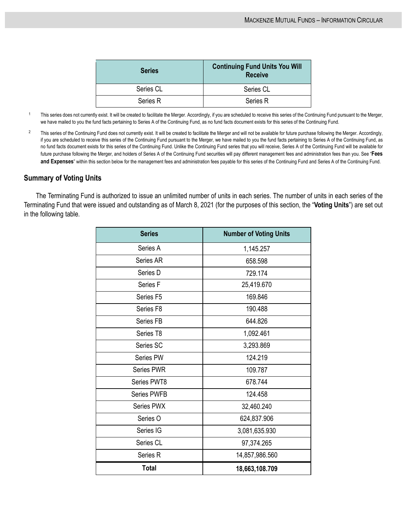| <b>Series</b> | <b>Continuing Fund Units You Will</b><br><b>Receive</b> |
|---------------|---------------------------------------------------------|
| Series CL     | Series CL                                               |
| Series R      | Series R                                                |

- <sup>1</sup> This series does not currently exist. It will be created to facilitate the Merger. Accordingly, if you are scheduled to receive this series of the Continuing Fund pursuant to the Merger, we have mailed to you the fund facts pertaining to Series A of the Continuing Fund, as no fund facts document exists for this series of the Continuing Fund.
- <sup>2</sup> This series of the Continuing Fund does not currently exist. It will be created to facilitate the Merger and will not be available for future purchase following the Merger. Accordingly, if you are scheduled to receive this series of the Continuing Fund pursuant to the Merger, we have mailed to you the fund facts pertaining to Series A of the Continuing Fund, as no fund facts document exists for this series of the Continuing Fund. Unlike the Continuing Fund series that you will receive, Series A of the Continuing Fund will be available for future purchase following the Merger, and holders of Series A of the Continuing Fund securities will pay different management fees and administration fees than you. See "**[Fees](#page-18-0)  [and Expenses](#page-18-0)**" within this section below for the management fees and administration fees payable for this series of the Continuing Fund and Series A of the Continuing Fund.

#### **Summary of Voting Units**

The Terminating Fund is authorized to issue an unlimited number of units in each series. The number of units in each series of the Terminating Fund that were issued and outstanding as of March 8, 2021 (for the purposes of this section, the "**Voting Units**") are set out in the following table.

| <b>Series</b>        | <b>Number of Voting Units</b> |  |
|----------------------|-------------------------------|--|
| Series A             | 1,145.257                     |  |
| Series AR            | 658.598                       |  |
| Series D             | 729.174                       |  |
| Series F             | 25,419.670                    |  |
| Series <sub>F5</sub> | 169.846                       |  |
| Series F8            | 190.488                       |  |
| Series FB            | 644.826                       |  |
| Series T8            | 1,092.461                     |  |
| Series SC            | 3,293.869                     |  |
| Series PW            | 124.219                       |  |
| Series PWR           | 109.787                       |  |
| Series PWT8          | 678.744                       |  |
| <b>Series PWFB</b>   | 124.458                       |  |
| Series PWX           | 32,460.240                    |  |
| Series O             | 624,837.906                   |  |
| Series IG            | 3,081,635.930                 |  |
| Series CL            | 97,374.265                    |  |
| Series R             | 14,857,986.560                |  |
| <b>Total</b>         | 18,663,108.709                |  |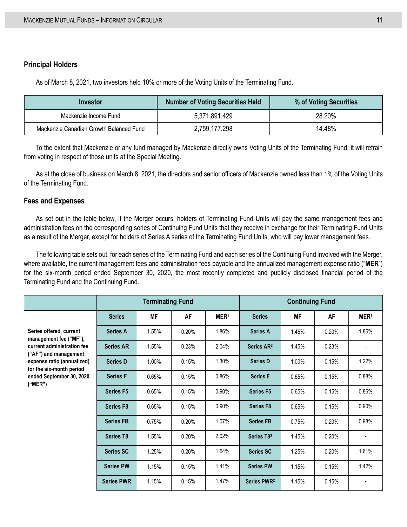#### **Principal Holders**

As of March 8, 2021, two investors held 10% or more of the Voting Units of the Terminating Fund.

| Investor                                | <b>Number of Voting Securities Held</b> | % of Voting Securities |
|-----------------------------------------|-----------------------------------------|------------------------|
| Mackenzie Income Fund                   | 5,371,891.429                           | 28.20%                 |
| Mackenzie Canadian Growth Balanced Fund | 2,759,177.298                           | 14.48%                 |

To the extent that Mackenzie or any fund managed by Mackenzie directly owns Voting Units of the Terminating Fund, it will refrain from voting in respect of those units at the Special Meeting.

As at the close of business on March 8, 2021, the directors and senior officers of Mackenzie owned less than 1% of the Voting Units of the Terminating Fund.

#### <span id="page-18-0"></span>**Fees and Expenses**

As set out in the table below, if the Merger occurs, holders of Terminating Fund Units will pay the same management fees and administration fees on the corresponding series of Continuing Fund Units that they receive in exchange for their Terminating Fund Units as a result of the Merger, except for holders of Series A series of the Terminating Fund Units, who will pay lower management fees.

The following table sets out, for each series of the Terminating Fund and each series of the Continuing Fund involved with the Merger, where available, the current management fees and administration fees payable and the annualized management expense ratio ("**MER**") for the six-month period ended September 30, 2020, the most recently completed and publicly disclosed financial period of the Terminating Fund and the Continuing Fund.

|                                                        |                   | <b>Terminating Fund</b> |       | <b>Continuing Fund</b> |                         |       |       |                  |
|--------------------------------------------------------|-------------------|-------------------------|-------|------------------------|-------------------------|-------|-------|------------------|
|                                                        | <b>Series</b>     | MF                      | AF    | MER <sup>1</sup>       | <b>Series</b>           | МF    | AF    | MER <sup>1</sup> |
| Series offered, current<br>management fee ("MF"),      | <b>Series A</b>   | 1.55%                   | 0.20% | 1.86%                  | <b>Series A</b>         | 1.45% | 0.20% | 1.86%            |
| current administration fee<br>("AF") and management    | <b>Series AR</b>  | 1.55%                   | 0.23% | 2.04%                  | Series AR <sup>2</sup>  | 1.45% | 0.23% |                  |
| expense ratio (annualized)<br>for the six-month period | <b>Series D</b>   | 1.00%                   | 0.15% | 1.30%                  | <b>Series D</b>         | 1.00% | 0.15% | 1.22%            |
| ended September 30, 2020<br>("MER")                    | <b>Series F</b>   | 0.65%                   | 0.15% | 0.86%                  | <b>Series F</b>         | 0.65% | 0.15% | 0.88%            |
|                                                        | <b>Series F5</b>  | 0.65%                   | 0.15% | 0.90%                  | <b>Series F5</b>        | 0.65% | 0.15% | 0.86%            |
|                                                        | <b>Series F8</b>  | 0.65%                   | 0.15% | $0.90\%$               | <b>Series F8</b>        | 0.65% | 0.15% | 0.90%            |
|                                                        | <b>Series FB</b>  | 0.75%                   | 0.20% | 1.07%                  | <b>Series FB</b>        | 0.75% | 0.20% | 0.98%            |
|                                                        | <b>Series T8</b>  | 1.55%                   | 0.20% | 2.02%                  | Series T83              | 1.45% | 0.20% |                  |
|                                                        | <b>Series SC</b>  | 1.25%                   | 0.20% | 1.64%                  | <b>Series SC</b>        | 1.25% | 0.20% | 1.61%            |
|                                                        | <b>Series PW</b>  | 1.15%                   | 0.15% | 1.41%                  | <b>Series PW</b>        | 1.15% | 0.15% | 1.42%            |
|                                                        | <b>Series PWR</b> | 1.15%                   | 0.15% | 1.47%                  | Series PWR <sup>2</sup> | 1.15% | 0.15% |                  |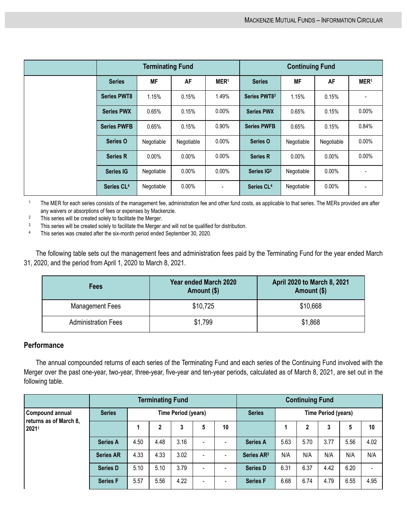|                        | <b>Terminating Fund</b> |            | <b>Continuing Fund</b>   |                        |            |            |                  |
|------------------------|-------------------------|------------|--------------------------|------------------------|------------|------------|------------------|
| <b>Series</b>          | <b>MF</b>               | AF         | MER <sup>1</sup>         | <b>Series</b>          | <b>MF</b>  | AF         | MER <sup>1</sup> |
| <b>Series PWT8</b>     | 1.15%                   | 0.15%      | 1.49%                    | Series PWT83           | 1.15%      | 0.15%      |                  |
| <b>Series PWX</b>      | 0.65%                   | 0.15%      | $0.00\%$                 | <b>Series PWX</b>      | 0.65%      | 0.15%      | $0.00\%$         |
| <b>Series PWFB</b>     | 0.65%                   | 0.15%      | 0.90%                    | <b>Series PWFB</b>     | 0.65%      | 0.15%      | 0.84%            |
| Series O               | Negotiable              | Negotiable | $0.00\%$                 | Series O               | Negotiable | Negotiable | $0.00\%$         |
| <b>Series R</b>        | $0.00\%$                | $0.00\%$   | $0.00\%$                 | <b>Series R</b>        | $0.00\%$   | $0.00\%$   | $0.00\%$         |
| <b>Series IG</b>       | Negotiable              | $0.00\%$   | $0.00\%$                 | Series IG <sup>2</sup> | Negotiable | $0.00\%$   |                  |
| Series CL <sup>4</sup> | Negotiable              | 0.00%      | $\overline{\phantom{a}}$ | Series CL <sup>4</sup> | Negotiable | $0.00\%$   |                  |

<sup>1</sup> The MER for each series consists of the management fee, administration fee and other fund costs, as applicable to that series. The MERs provided are after any waivers or absorptions of fees or expenses by Mackenzie.

<sup>2</sup> This series will be created solely to facilitate the Merger.

<sup>3</sup> This series will be created solely to facilitate the Merger and will not be qualified for distribution.

<sup>4</sup> This series was created after the six-month period ended September 30, 2020.

The following table sets out the management fees and administration fees paid by the Terminating Fund for the year ended March 31, 2020, and the period from April 1, 2020 to March 8, 2021.

| Fees                       | <b>Year ended March 2020</b><br>Amount (\$) | April 2020 to March 8, 2021<br>Amount (\$) |
|----------------------------|---------------------------------------------|--------------------------------------------|
| <b>Management Fees</b>     | \$10,725                                    | \$10,668                                   |
| <b>Administration Fees</b> | \$1,799                                     | \$1,868                                    |

#### <span id="page-19-0"></span>**Performance**

The annual compounded returns of each series of the Terminating Fund and each series of the Continuing Fund involved with the Merger over the past one-year, two-year, three-year, five-year and ten-year periods, calculated as of March 8, 2021, are set out in the following table.

|                                                    | <b>Terminating Fund</b> |      |                     |      |   | <b>Continuing Fund</b>   |                        |      |      |                     |      |                          |
|----------------------------------------------------|-------------------------|------|---------------------|------|---|--------------------------|------------------------|------|------|---------------------|------|--------------------------|
| Compound annual<br>returns as of March 8,<br>20211 | <b>Series</b>           |      | Time Period (years) |      |   |                          |                        |      |      | Time Period (years) |      |                          |
|                                                    |                         |      | 2                   | 3    | 5 | 10                       |                        |      | 2    | 3                   | 5    | 10                       |
|                                                    | <b>Series A</b>         | 4.50 | 4.48                | 3.16 | ٠ | ۰                        | <b>Series A</b>        | 5.63 | 5.70 | 3.77                | 5.56 | 4.02                     |
|                                                    | <b>Series AR</b>        | 4.33 | 4.33                | 3.02 | ٠ | $\overline{\phantom{0}}$ | Series AR <sup>2</sup> | N/A  | N/A  | N/A                 | N/A  | N/A                      |
|                                                    | <b>Series D</b>         | 5.10 | 5.10                | 3.79 | ٠ | ۰                        | <b>Series D</b>        | 6.31 | 6.37 | 4.42                | 6.20 | $\overline{\phantom{a}}$ |
|                                                    | <b>Series F</b>         | 5.57 | 5.56                | 4.22 | ٠ | ۰                        | <b>Series F</b>        | 6.68 | 6.74 | 4.79                | 6.55 | 4.95                     |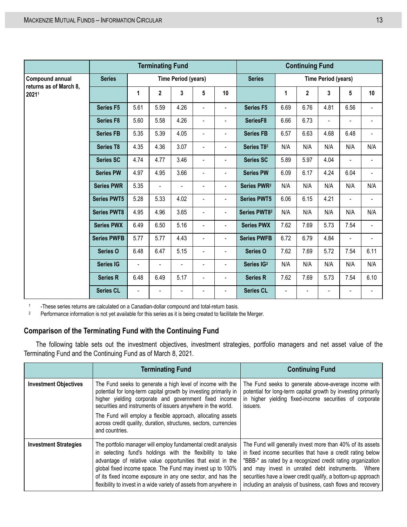|                                 | <b>Terminating Fund</b> |                          |                          |                            |                          |                          |                         |      | <b>Continuing Fund</b>  |                            |                          |                          |
|---------------------------------|-------------------------|--------------------------|--------------------------|----------------------------|--------------------------|--------------------------|-------------------------|------|-------------------------|----------------------------|--------------------------|--------------------------|
| Compound annual                 | <b>Series</b>           |                          |                          | <b>Time Period (years)</b> |                          |                          | <b>Series</b>           |      |                         | <b>Time Period (years)</b> |                          |                          |
| returns as of March 8,<br>20211 |                         | 1                        | $\mathbf 2$              | 3                          | $5\phantom{.0}$          | 10                       |                         | 1    | $\overline{\mathbf{2}}$ | 3                          | 5                        | 10                       |
|                                 | <b>Series F5</b>        | 5.61                     | 5.59                     | 4.26                       |                          | ÷,                       | <b>Series F5</b>        | 6.69 | 6.76                    | 4.81                       | 6.56                     | ä,                       |
|                                 | <b>Series F8</b>        | 5.60                     | 5.58                     | 4.26                       | ä,                       | ٠                        | SeriesF8                | 6.66 | 6.73                    |                            |                          | $\overline{\phantom{0}}$ |
|                                 | <b>Series FB</b>        | 5.35                     | 5.39                     | 4.05                       | ä,                       | $\overline{\phantom{0}}$ | <b>Series FB</b>        | 6.57 | 6.63                    | 4.68                       | 6.48                     | ٠                        |
|                                 | <b>Series T8</b>        | 4.35                     | 4.36                     | 3.07                       | ä,                       | ÷,                       | Series T82              | N/A  | N/A                     | N/A                        | N/A                      | N/A                      |
|                                 | <b>Series SC</b>        | 4.74                     | 4.77                     | 3.46                       | ÷,                       | $\overline{\phantom{0}}$ | <b>Series SC</b>        | 5.89 | 5.97                    | 4.04                       | $\overline{\phantom{a}}$ | $\overline{\phantom{a}}$ |
|                                 | <b>Series PW</b>        | 4.97                     | 4.95                     | 3.66                       | ä,                       | $\overline{\phantom{0}}$ | <b>Series PW</b>        | 6.09 | 6.17                    | 4.24                       | 6.04                     | $\overline{\phantom{a}}$ |
|                                 | <b>Series PWR</b>       | 5.35                     | $\overline{\phantom{a}}$ |                            | ä,                       | $\overline{\phantom{0}}$ | Series PWR <sup>2</sup> | N/A  | N/A                     | N/A                        | N/A                      | N/A                      |
|                                 | <b>Series PWT5</b>      | 5.28                     | 5.33                     | 4.02                       | ÷.                       | $\overline{\phantom{0}}$ | <b>Series PWT5</b>      | 6.06 | 6.15                    | 4.21                       | $\overline{\phantom{a}}$ | $\overline{\phantom{0}}$ |
|                                 | <b>Series PWT8</b>      | 4.95                     | 4.96                     | 3.65                       | ÷,                       | $\overline{\phantom{0}}$ | Series PWT82            | N/A  | N/A                     | N/A                        | N/A                      | N/A                      |
|                                 | <b>Series PWX</b>       | 6.49                     | 6.50                     | 5.16                       | L.                       | ÷.                       | <b>Series PWX</b>       | 7.62 | 7.69                    | 5.73                       | 7.54                     | ÷,                       |
|                                 | <b>Series PWFB</b>      | 5.77                     | 5.77                     | 4.43                       | ÷,                       | ÷,                       | <b>Series PWFB</b>      | 6.72 | 6.79                    | 4.84                       | $\overline{\phantom{a}}$ | $\overline{\phantom{0}}$ |
|                                 | Series O                | 6.48                     | 6.47                     | 5.15                       | ä,                       | ÷.                       | Series <sub>O</sub>     | 7.62 | 7.69                    | 5.72                       | 7.54                     | 6.11                     |
|                                 | <b>Series IG</b>        |                          |                          |                            |                          | ٠                        | Series IG <sup>2</sup>  | N/A  | N/A                     | N/A                        | N/A                      | N/A                      |
|                                 | <b>Series R</b>         | 6.48                     | 6.49                     | 5.17                       | ä,                       | ٠                        | <b>Series R</b>         | 7.62 | 7.69                    | 5.73                       | 7.54                     | 6.10                     |
|                                 | <b>Series CL</b>        | $\overline{\phantom{a}}$ |                          |                            | $\overline{\phantom{0}}$ | ٠                        | <b>Series CL</b>        |      |                         |                            |                          | $\overline{\phantom{0}}$ |

<sup>1</sup> -These series returns are calculated on a Canadian-dollar compound and total-return basis.<br><sup>2</sup> Performance information is not vet available for this series as it is being created to facilitate.

Performance information is not yet available for this series as it is being created to facilitate the Merger.

### **Comparison of the Terminating Fund with the Continuing Fund**

The following table sets out the investment objectives, investment strategies, portfolio managers and net asset value of the Terminating Fund and the Continuing Fund as of March 8, 2021.

|                              | <b>Terminating Fund</b>                                                                                                                                                                                                                                                                                                                                                                                      | <b>Continuing Fund</b>                                                                                                                                                                                                                                                                                                                                                       |
|------------------------------|--------------------------------------------------------------------------------------------------------------------------------------------------------------------------------------------------------------------------------------------------------------------------------------------------------------------------------------------------------------------------------------------------------------|------------------------------------------------------------------------------------------------------------------------------------------------------------------------------------------------------------------------------------------------------------------------------------------------------------------------------------------------------------------------------|
| <b>Investment Objectives</b> | The Fund seeks to generate a high level of income with the<br>potential for long-term capital growth by investing primarily in<br>higher yielding corporate and government fixed income<br>securities and instruments of issuers anywhere in the world.<br>The Fund will employ a flexible approach, allocating assets<br>across credit quality, duration, structures, sectors, currencies<br>and countries. | The Fund seeks to generate above-average income with<br>potential for long-term capital growth by investing primarily<br>in higher yielding fixed-income securities of corporate<br>issuers.                                                                                                                                                                                 |
| <b>Investment Strategies</b> | The portfolio manager will employ fundamental credit analysis<br>in selecting fund's holdings with the flexibility to take<br>advantage of relative value opportunities that exist in the<br>global fixed income space. The Fund may invest up to 100%<br>of its fixed income exposure in any one sector, and has the<br>flexibility to invest in a wide variety of assets from anywhere in                  | The Fund will generally invest more than 40% of its assets<br>in fixed income securities that have a credit rating below<br>"BBB-" as rated by a recognized credit rating organization<br>and may invest in unrated debt instruments.<br>Where<br>securities have a lower credit qualify, a bottom-up approach<br>including an analysis of business, cash flows and recovery |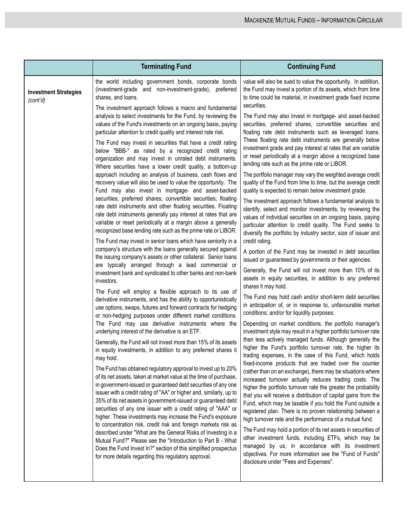|                                          | <b>Terminating Fund</b>                                                                                                                                                                                                                                                                                                                                                                                                                                                                                      | <b>Continuing Fund</b>                                                                                                                                                                                                                                                                                                                                                                                                                                                                            |
|------------------------------------------|--------------------------------------------------------------------------------------------------------------------------------------------------------------------------------------------------------------------------------------------------------------------------------------------------------------------------------------------------------------------------------------------------------------------------------------------------------------------------------------------------------------|---------------------------------------------------------------------------------------------------------------------------------------------------------------------------------------------------------------------------------------------------------------------------------------------------------------------------------------------------------------------------------------------------------------------------------------------------------------------------------------------------|
| <b>Investment Strategies</b><br>(cont'd) | the world including government bonds, corporate bonds<br>(investment-grade and non-investment-grade), preferred<br>shares, and loans.<br>The investment approach follows a macro and fundamental                                                                                                                                                                                                                                                                                                             | value will also be sued to value the opportunity. In addition,<br>the Fund may invest a portion of its assets, which from time<br>to time could be material, in investment grade fixed income<br>securities.                                                                                                                                                                                                                                                                                      |
|                                          | analysis to select investments for the Fund, by reviewing the<br>values of the Fund's investments on an ongoing basis, paying<br>particular attention to credit quality and interest rate risk.<br>The Fund may invest in securities that have a credit rating<br>below "BBB-" as rated by a recognized credit rating<br>organization and may invest in unrated debt instruments.<br>Where securities have a lower credit quality, a bottom-up<br>approach including an analysis of business, cash flows and | The Fund may also invest in mortgage- and asset-backed<br>securities, preferred shares, convertible securities and<br>floating rate debt instruments such as leveraged loans.<br>These floating rate debt instruments are generally below<br>investment grade and pay interest at rates that are variable<br>or reset periodically at a margin above a recognized base<br>lending rate such as the prime rate or LIBOR.<br>The portfolio manager may vary the weighted average credit             |
|                                          | recovery value will also be used to value the opportunity. The<br>Fund may also invest in mortgage- and asset-backed<br>securities; preferred shares; convertible securities; floating<br>rate debt instruments and other floating securities. Floating<br>rate debt instruments generally pay interest at rates that are<br>variable or reset periodically at a margin above a generally<br>recognized base lending rate such as the prime rate or LIBOR.                                                   | quality of the Fund from time to time, but the average credit<br>quality is expected to remain below investment grade.<br>The investment approach follows a fundamental analysis to<br>identify, select and monitor investments, by reviewing the<br>values of individual securities on an ongoing basis, paying<br>particular attention to credit quality. The Fund seeks to<br>diversify the portfolio by industry sector, size of issuer and                                                   |
|                                          | The Fund may invest in senior loans which have seniority in a<br>company's structure with the loans generally secured against<br>the issuing company's assets or other collateral. Senior loans<br>are typically arranged through a lead commercial or<br>investment bank and syndicated to other banks and non-bank<br>investors.                                                                                                                                                                           | credit rating.<br>A portion of the Fund may be invested in debt securities<br>issued or guaranteed by governments or their agencies.<br>Generally, the Fund will not invest more than 10% of its<br>assets in equity securities, in addition to any preferred<br>shares it may hold.                                                                                                                                                                                                              |
|                                          | The Fund will employ a flexible approach to its use of<br>derivative instruments, and has the ability to opportunistically<br>use options, swaps, futures and forward contracts for hedging<br>or non-hedging purposes under different market conditions.                                                                                                                                                                                                                                                    | The Fund may hold cash and/or short-term debt securities<br>in anticipation of, or in response to, unfavourable market<br>conditions; and/or for liquidity purposes.                                                                                                                                                                                                                                                                                                                              |
|                                          | The Fund may use derivative instruments where the<br>underlying interest of the derivative is an ETF.<br>Generally, the Fund will not invest more than 15% of its assets<br>in equity investments, in addition to any preferred shares it<br>may hold.<br>The Fund has obtained regulatory approval to invest up to 20%<br>of its net assets, taken at market value at the time of purchase,                                                                                                                 | Depending on market conditions, the portfolio manager's<br>investment style may result in a higher portfolio turnover rate<br>than less actively managed funds. Although generally the<br>higher the Fund's portfolio turnover rate, the higher its<br>trading expenses, in the case of this Fund, which holds<br>fixed-income products that are traded over the counter<br>(rather than on an exchange), there may be situations where<br>increased turnover actually reduces trading costs. The |
|                                          | in government-issued or guaranteed debt securities of any one<br>issuer with a credit rating of "AA" or higher and, similarly, up to<br>35% of its net assets in government-issued or guaranteed debt<br>securities of any one issuer with a credit rating of "AAA" or<br>higher. These investments may increase the Fund's exposure<br>to concentration risk, credit risk and foreign markets risk as<br>described under "What are the General Risks of Investing in a                                      | higher the portfolio turnover rate the greater the probability<br>that you will receive a distribution of capital gains from the<br>Fund, which may be taxable if you hold the Fund outside a<br>registered plan. There is no proven relationship between a<br>high turnover rate and the performance of a mutual fund.<br>The Fund may hold a portion of its net assets in securities of<br>other investment funds, including ETFs, which may be                                                 |
|                                          | Mutual Fund?" Please see the "Introduction to Part B - What<br>Does the Fund Invest In?" section of this simplified prospectus<br>for more details regarding this regulatory approval.                                                                                                                                                                                                                                                                                                                       | managed by us, in accordance with its investment<br>objectives. For more information see the "Fund of Funds"<br>disclosure under "Fees and Expenses".                                                                                                                                                                                                                                                                                                                                             |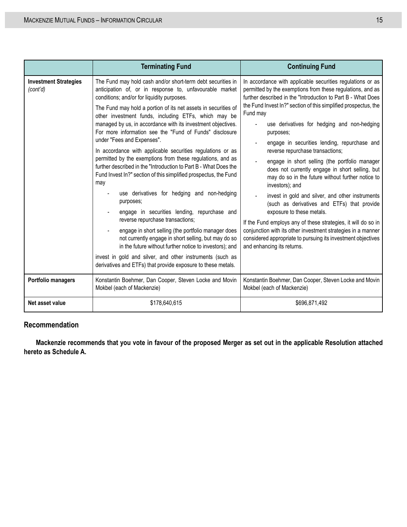|                                          | <b>Terminating Fund</b>                                                                                                                                                                                                                                                                                                                                                                                                                                                                                                                                                                                                                                                                                                                                                                                                                                                                                                                                                                                                                                                                                                                                                                   | <b>Continuing Fund</b>                                                                                                                                                                                                                                                                                                                                                                                                                                                                                                                                                                                                                                                                                                                                                                                                                                                                                                                                              |
|------------------------------------------|-------------------------------------------------------------------------------------------------------------------------------------------------------------------------------------------------------------------------------------------------------------------------------------------------------------------------------------------------------------------------------------------------------------------------------------------------------------------------------------------------------------------------------------------------------------------------------------------------------------------------------------------------------------------------------------------------------------------------------------------------------------------------------------------------------------------------------------------------------------------------------------------------------------------------------------------------------------------------------------------------------------------------------------------------------------------------------------------------------------------------------------------------------------------------------------------|---------------------------------------------------------------------------------------------------------------------------------------------------------------------------------------------------------------------------------------------------------------------------------------------------------------------------------------------------------------------------------------------------------------------------------------------------------------------------------------------------------------------------------------------------------------------------------------------------------------------------------------------------------------------------------------------------------------------------------------------------------------------------------------------------------------------------------------------------------------------------------------------------------------------------------------------------------------------|
| <b>Investment Strategies</b><br>(cont'd) | The Fund may hold cash and/or short-term debt securities in<br>anticipation of, or in response to, unfavourable market<br>conditions; and/or for liquidity purposes.<br>The Fund may hold a portion of its net assets in securities of<br>other investment funds, including ETFs, which may be<br>managed by us, in accordance with its investment objectives.<br>For more information see the "Fund of Funds" disclosure<br>under "Fees and Expenses".<br>In accordance with applicable securities regulations or as<br>permitted by the exemptions from these regulations, and as<br>further described in the "Introduction to Part B - What Does the<br>Fund Invest In?" section of this simplified prospectus, the Fund<br>may<br>use derivatives for hedging and non-hedging<br>purposes;<br>engage in securities lending, repurchase and<br>reverse repurchase transactions;<br>engage in short selling (the portfolio manager does<br>not currently engage in short selling, but may do so<br>in the future without further notice to investors); and<br>invest in gold and silver, and other instruments (such as<br>derivatives and ETFs) that provide exposure to these metals. | In accordance with applicable securities regulations or as<br>permitted by the exemptions from these regulations, and as<br>further described in the "Introduction to Part B - What Does<br>the Fund Invest In?" section of this simplified prospectus, the<br>Fund may<br>use derivatives for hedging and non-hedging<br>purposes;<br>engage in securities lending, repurchase and<br>reverse repurchase transactions;<br>engage in short selling (the portfolio manager<br>does not currently engage in short selling, but<br>may do so in the future without further notice to<br>investors); and<br>invest in gold and silver, and other instruments<br>(such as derivatives and ETFs) that provide<br>exposure to these metals.<br>If the Fund employs any of these strategies, it will do so in<br>conjunction with its other investment strategies in a manner<br>considered appropriate to pursuing its investment objectives<br>and enhancing its returns. |
| Portfolio managers                       | Konstantin Boehmer, Dan Cooper, Steven Locke and Movin<br>Mokbel (each of Mackenzie)                                                                                                                                                                                                                                                                                                                                                                                                                                                                                                                                                                                                                                                                                                                                                                                                                                                                                                                                                                                                                                                                                                      | Konstantin Boehmer, Dan Cooper, Steven Locke and Movin<br>Mokbel (each of Mackenzie)                                                                                                                                                                                                                                                                                                                                                                                                                                                                                                                                                                                                                                                                                                                                                                                                                                                                                |
| Net asset value                          | \$178,640,615                                                                                                                                                                                                                                                                                                                                                                                                                                                                                                                                                                                                                                                                                                                                                                                                                                                                                                                                                                                                                                                                                                                                                                             | \$696,871,492                                                                                                                                                                                                                                                                                                                                                                                                                                                                                                                                                                                                                                                                                                                                                                                                                                                                                                                                                       |

#### **Recommendation**

**Mackenzie recommends that you vote in favour of the proposed Merger as set out in the applicable Resolution attached hereto as Schedule A.**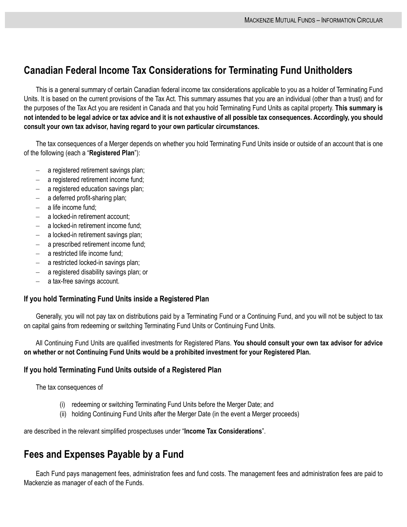# <span id="page-23-0"></span>**Canadian Federal Income Tax Considerations for Terminating Fund Unitholders**

This is a general summary of certain Canadian federal income tax considerations applicable to you as a holder of Terminating Fund Units. It is based on the current provisions of the Tax Act. This summary assumes that you are an individual (other than a trust) and for the purposes of the Tax Act you are resident in Canada and that you hold Terminating Fund Units as capital property. **This summary is not intended to be legal advice or tax advice and it is not exhaustive of all possible tax consequences. Accordingly, you should consult your own tax advisor, having regard to your own particular circumstances.**

The tax consequences of a Merger depends on whether you hold Terminating Fund Units inside or outside of an account that is one of the following (each a "**Registered Plan**"):

- a registered retirement savings plan;
- a registered retirement income fund;
- a registered education savings plan;
- a deferred profit-sharing plan;
- a life income fund:
- a locked-in retirement account;
- a locked-in retirement income fund:
- a locked-in retirement savings plan;
- a prescribed retirement income fund;
- a restricted life income fund:
- a restricted locked-in savings plan;
- a registered disability savings plan; or
- a tax-free savings account.

#### **If you hold Terminating Fund Units inside a Registered Plan**

Generally, you will not pay tax on distributions paid by a Terminating Fund or a Continuing Fund, and you will not be subject to tax on capital gains from redeeming or switching Terminating Fund Units or Continuing Fund Units.

All Continuing Fund Units are qualified investments for Registered Plans. **You should consult your own tax advisor for advice on whether or not Continuing Fund Units would be a prohibited investment for your Registered Plan.**

#### **If you hold Terminating Fund Units outside of a Registered Plan**

The tax consequences of

- (i) redeeming or switching Terminating Fund Units before the Merger Date; and
- (ii) holding Continuing Fund Units after the Merger Date (in the event a Merger proceeds)

are described in the relevant simplified prospectuses under "**Income Tax Considerations**".

# <span id="page-23-1"></span>**Fees and Expenses Payable by a Fund**

Each Fund pays management fees, administration fees and fund costs. The management fees and administration fees are paid to Mackenzie as manager of each of the Funds.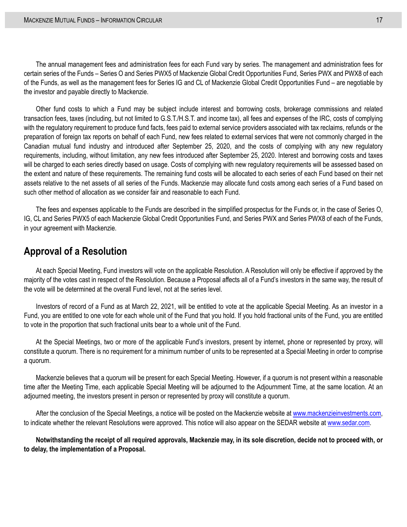The annual management fees and administration fees for each Fund vary by series. The management and administration fees for certain series of the Funds – Series O and Series PWX5 of Mackenzie Global Credit Opportunities Fund, Series PWX and PWX8 of each of the Funds, as well as the management fees for Series IG and CL of Mackenzie Global Credit Opportunities Fund – are negotiable by the investor and payable directly to Mackenzie.

Other fund costs to which a Fund may be subject include interest and borrowing costs, brokerage commissions and related transaction fees, taxes (including, but not limited to G.S.T./H.S.T. and income tax), all fees and expenses of the IRC, costs of complying with the regulatory requirement to produce fund facts, fees paid to external service providers associated with tax reclaims, refunds or the preparation of foreign tax reports on behalf of each Fund, new fees related to external services that were not commonly charged in the Canadian mutual fund industry and introduced after September 25, 2020, and the costs of complying with any new regulatory requirements, including, without limitation, any new fees introduced after September 25, 2020. Interest and borrowing costs and taxes will be charged to each series directly based on usage. Costs of complying with new regulatory requirements will be assessed based on the extent and nature of these requirements. The remaining fund costs will be allocated to each series of each Fund based on their net assets relative to the net assets of all series of the Funds. Mackenzie may allocate fund costs among each series of a Fund based on such other method of allocation as we consider fair and reasonable to each Fund.

The fees and expenses applicable to the Funds are described in the simplified prospectus for the Funds or, in the case of Series O, IG, CL and Series PWX5 of each Mackenzie Global Credit Opportunities Fund, and Series PWX and Series PWX8 of each of the Funds, in your agreement with Mackenzie.

### <span id="page-24-0"></span>**Approval of a Resolution**

At each Special Meeting, Fund investors will vote on the applicable Resolution. A Resolution will only be effective if approved by the majority of the votes cast in respect of the Resolution. Because a Proposal affects all of a Fund's investors in the same way, the result of the vote will be determined at the overall Fund level, not at the series level.

Investors of record of a Fund as at March 22, 2021, will be entitled to vote at the applicable Special Meeting. As an investor in a Fund, you are entitled to one vote for each whole unit of the Fund that you hold. If you hold fractional units of the Fund, you are entitled to vote in the proportion that such fractional units bear to a whole unit of the Fund.

At the Special Meetings, two or more of the applicable Fund's investors, present by internet, phone or represented by proxy, will constitute a quorum. There is no requirement for a minimum number of units to be represented at a Special Meeting in order to comprise a quorum.

Mackenzie believes that a quorum will be present for each Special Meeting. However, if a quorum is not present within a reasonable time after the Meeting Time, each applicable Special Meeting will be adjourned to the Adjournment Time, at the same location. At an adjourned meeting, the investors present in person or represented by proxy will constitute a quorum.

After the conclusion of the Special Meetings, a notice will be posted on the Mackenzie website at [www.mackenzieinvestments.com,](http://www.mackenzieinvestments.com/) to indicate whether the relevant Resolutions were approved. This notice will also appear on the SEDAR website at [www.sedar.com.](http://www.sedar.com/)

**Notwithstanding the receipt of all required approvals, Mackenzie may, in its sole discretion, decide not to proceed with, or to delay, the implementation of a Proposal.**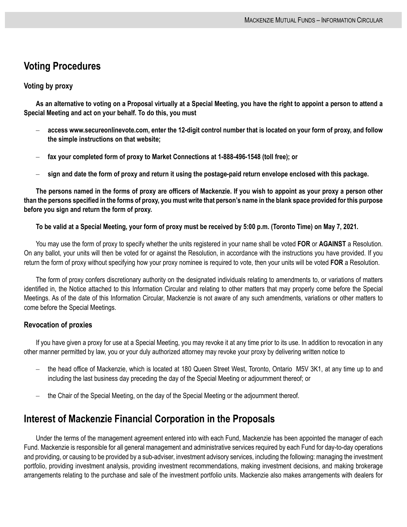### <span id="page-25-0"></span>**Voting Procedures**

#### **Voting by proxy**

**As an alternative to voting on a Proposal virtually at a Special Meeting, you have the right to appoint a person to attend a Special Meeting and act on your behalf. To do this, you must**

- **access www.secureonlinevote.com, enter the 12-digit control number that is located on your form of proxy, and follow the simple instructions on that website;**
- **fax your completed form of proxy to Market Connections at 1-888-496-1548 (toll free); or**
- **sign and date the form of proxy and return it using the postage-paid return envelope enclosed with this package.**

**The persons named in the forms of proxy are officers of Mackenzie. If you wish to appoint as your proxy a person other than the persons specified in the forms of proxy, you must write that person's name in the blank space provided for this purpose before you sign and return the form of proxy.**

**To be valid at a Special Meeting, your form of proxy must be received by 5:00 p.m. (Toronto Time) on May 7, 2021.**

You may use the form of proxy to specify whether the units registered in your name shall be voted **FOR** or **AGAINST** a Resolution. On any ballot, your units will then be voted for or against the Resolution, in accordance with the instructions you have provided. If you return the form of proxy without specifying how your proxy nominee is required to vote, then your units will be voted **FOR** a Resolution.

The form of proxy confers discretionary authority on the designated individuals relating to amendments to, or variations of matters identified in, the Notice attached to this Information Circular and relating to other matters that may properly come before the Special Meetings. As of the date of this Information Circular, Mackenzie is not aware of any such amendments, variations or other matters to come before the Special Meetings.

#### **Revocation of proxies**

If you have given a proxy for use at a Special Meeting, you may revoke it at any time prior to its use. In addition to revocation in any other manner permitted by law, you or your duly authorized attorney may revoke your proxy by delivering written notice to

- the head office of Mackenzie, which is located at 180 Queen Street West, Toronto, Ontario M5V 3K1, at any time up to and including the last business day preceding the day of the Special Meeting or adjournment thereof; or
- the Chair of the Special Meeting, on the day of the Special Meeting or the adjournment thereof.

# <span id="page-25-1"></span>**Interest of Mackenzie Financial Corporation in the Proposals**

Under the terms of the management agreement entered into with each Fund, Mackenzie has been appointed the manager of each Fund. Mackenzie is responsible for all general management and administrative services required by each Fund for day-to-day operations and providing, or causing to be provided by a sub-adviser, investment advisory services, including the following: managing the investment portfolio, providing investment analysis, providing investment recommendations, making investment decisions, and making brokerage arrangements relating to the purchase and sale of the investment portfolio units. Mackenzie also makes arrangements with dealers for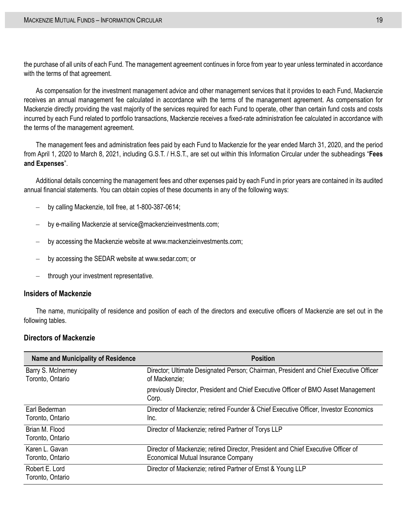the purchase of all units of each Fund. The management agreement continues in force from year to year unless terminated in accordance with the terms of that agreement.

As compensation for the investment management advice and other management services that it provides to each Fund, Mackenzie receives an annual management fee calculated in accordance with the terms of the management agreement. As compensation for Mackenzie directly providing the vast majority of the services required for each Fund to operate, other than certain fund costs and costs incurred by each Fund related to portfolio transactions, Mackenzie receives a fixed-rate administration fee calculated in accordance with the terms of the management agreement.

The management fees and administration fees paid by each Fund to Mackenzie for the year ended March 31, 2020, and the period from April 1, 2020 to March 8, 2021, including G.S.T. / H.S.T., are set out within this Information Circular under the subheadings "**Fees and Expenses**".

Additional details concerning the management fees and other expenses paid by each Fund in prior years are contained in its audited annual financial statements. You can obtain copies of these documents in any of the following ways:

- by calling Mackenzie, toll free, at 1-800-387-0614;
- by e-mailing Mackenzie at service@mackenzieinvestments.com;
- by accessing the Mackenzie website at www.mackenzieinvestments.com;
- by accessing the SEDAR website at www.sedar.com; or
- through your investment representative.

#### **Insiders of Mackenzie**

The name, municipality of residence and position of each of the directors and executive officers of Mackenzie are set out in the following tables.

#### **Directors of Mackenzie**

| <b>Name and Municipality of Residence</b> | <b>Position</b>                                                                                                                 |
|-------------------------------------------|---------------------------------------------------------------------------------------------------------------------------------|
| Barry S. McInerney<br>Toronto, Ontario    | Director; Ultimate Designated Person; Chairman, President and Chief Executive Officer<br>of Mackenzie;                          |
|                                           | previously Director, President and Chief Executive Officer of BMO Asset Management<br>Corp.                                     |
| Earl Bederman<br>Toronto, Ontario         | Director of Mackenzie; retired Founder & Chief Executive Officer, Investor Economics<br>Inc.                                    |
| Brian M. Flood<br>Toronto, Ontario        | Director of Mackenzie; retired Partner of Torys LLP                                                                             |
| Karen L. Gavan<br>Toronto, Ontario        | Director of Mackenzie; retired Director, President and Chief Executive Officer of<br><b>Economical Mutual Insurance Company</b> |
| Robert E. Lord<br>Toronto, Ontario        | Director of Mackenzie; retired Partner of Ernst & Young LLP                                                                     |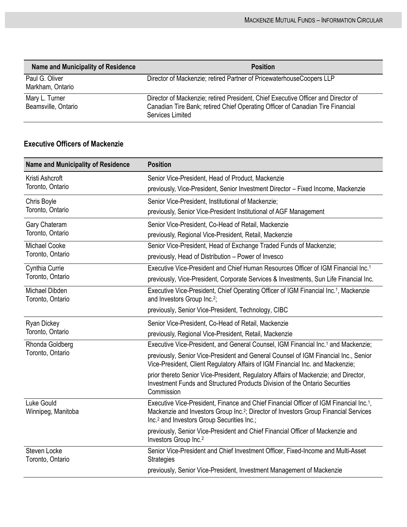| Name and Municipality of Residence    | <b>Position</b>                                                                                                                                                                         |
|---------------------------------------|-----------------------------------------------------------------------------------------------------------------------------------------------------------------------------------------|
| Paul G. Oliver<br>Markham, Ontario    | Director of Mackenzie; retired Partner of PricewaterhouseCoopers LLP                                                                                                                    |
| Mary L. Turner<br>Beamsville, Ontario | Director of Mackenzie; retired President, Chief Executive Officer and Director of<br>Canadian Tire Bank; retired Chief Operating Officer of Canadian Tire Financial<br>Services Limited |

### **Executive Officers of Mackenzie**

| <b>Name and Municipality of Residence</b> | <b>Position</b>                                                                                                                                                                                                                                                  |
|-------------------------------------------|------------------------------------------------------------------------------------------------------------------------------------------------------------------------------------------------------------------------------------------------------------------|
| Kristi Ashcroft                           | Senior Vice-President, Head of Product, Mackenzie                                                                                                                                                                                                                |
| Toronto, Ontario                          | previously, Vice-President, Senior Investment Director - Fixed Income, Mackenzie                                                                                                                                                                                 |
| Chris Boyle                               | Senior Vice-President, Institutional of Mackenzie;                                                                                                                                                                                                               |
| Toronto, Ontario                          | previously, Senior Vice-President Institutional of AGF Management                                                                                                                                                                                                |
| Gary Chateram                             | Senior Vice-President, Co-Head of Retail, Mackenzie                                                                                                                                                                                                              |
| Toronto, Ontario                          | previously, Regional Vice-President, Retail, Mackenzie                                                                                                                                                                                                           |
| <b>Michael Cooke</b>                      | Senior Vice-President, Head of Exchange Traded Funds of Mackenzie;                                                                                                                                                                                               |
| Toronto, Ontario                          | previously, Head of Distribution - Power of Invesco                                                                                                                                                                                                              |
| Cynthia Currie                            | Executive Vice-President and Chief Human Resources Officer of IGM Financial Inc. <sup>1</sup>                                                                                                                                                                    |
| Toronto, Ontario                          | previously, Vice-President, Corporate Services & Investments, Sun Life Financial Inc.                                                                                                                                                                            |
| Michael Dibden                            | Executive Vice-President, Chief Operating Officer of IGM Financial Inc. <sup>1</sup> , Mackenzie                                                                                                                                                                 |
| Toronto, Ontario                          | and Investors Group Inc. <sup>2</sup> ;                                                                                                                                                                                                                          |
|                                           | previously, Senior Vice-President, Technology, CIBC                                                                                                                                                                                                              |
| Ryan Dickey                               | Senior Vice-President, Co-Head of Retail, Mackenzie                                                                                                                                                                                                              |
| Toronto, Ontario                          | previously, Regional Vice-President, Retail, Mackenzie                                                                                                                                                                                                           |
| Rhonda Goldberg                           | Executive Vice-President, and General Counsel, IGM Financial Inc. <sup>1</sup> and Mackenzie;                                                                                                                                                                    |
| Toronto, Ontario                          | previously, Senior Vice-President and General Counsel of IGM Financial Inc., Senior<br>Vice-President, Client Regulatory Affairs of IGM Financial Inc. and Mackenzie;                                                                                            |
|                                           | prior thereto Senior Vice-President, Regulatory Affairs of Mackenzie; and Director,<br>Investment Funds and Structured Products Division of the Ontario Securities<br>Commission                                                                                 |
| Luke Gould<br>Winnipeg, Manitoba          | Executive Vice-President, Finance and Chief Financial Officer of IGM Financial Inc. <sup>1</sup> ,<br>Mackenzie and Investors Group Inc. <sup>2</sup> ; Director of Investors Group Financial Services<br>Inc. <sup>2</sup> and Investors Group Securities Inc.; |
|                                           | previously, Senior Vice-President and Chief Financial Officer of Mackenzie and<br>Investors Group Inc. <sup>2</sup>                                                                                                                                              |
| Steven Locke                              | Senior Vice-President and Chief Investment Officer, Fixed-Income and Multi-Asset                                                                                                                                                                                 |
| Toronto, Ontario                          | <b>Strategies</b>                                                                                                                                                                                                                                                |
|                                           | previously, Senior Vice-President, Investment Management of Mackenzie                                                                                                                                                                                            |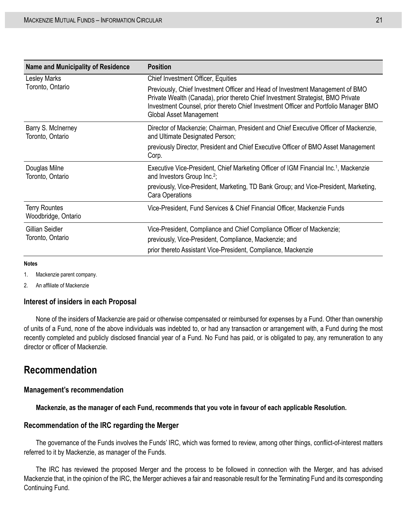| <b>Name and Municipality of Residence</b>   | <b>Position</b>                                                                                                                                                                                                                                                                     |
|---------------------------------------------|-------------------------------------------------------------------------------------------------------------------------------------------------------------------------------------------------------------------------------------------------------------------------------------|
| <b>Lesley Marks</b>                         | <b>Chief Investment Officer, Equities</b>                                                                                                                                                                                                                                           |
| Toronto, Ontario                            | Previously, Chief Investment Officer and Head of Investment Management of BMO<br>Private Wealth (Canada), prior thereto Chief Investment Strategist, BMO Private<br>Investment Counsel, prior thereto Chief Investment Officer and Portfolio Manager BMO<br>Global Asset Management |
| Barry S. McInerney<br>Toronto, Ontario      | Director of Mackenzie; Chairman, President and Chief Executive Officer of Mackenzie,<br>and Ultimate Designated Person;                                                                                                                                                             |
|                                             | previously Director, President and Chief Executive Officer of BMO Asset Management<br>Corp.                                                                                                                                                                                         |
| Douglas Milne<br>Toronto, Ontario           | Executive Vice-President, Chief Marketing Officer of IGM Financial Inc. <sup>1</sup> , Mackenzie<br>and Investors Group Inc. <sup>2</sup> ;                                                                                                                                         |
|                                             | previously, Vice-President, Marketing, TD Bank Group; and Vice-President, Marketing,<br>Cara Operations                                                                                                                                                                             |
| <b>Terry Rountes</b><br>Woodbridge, Ontario | Vice-President, Fund Services & Chief Financial Officer, Mackenzie Funds                                                                                                                                                                                                            |
| Gillian Seidler                             | Vice-President, Compliance and Chief Compliance Officer of Mackenzie;                                                                                                                                                                                                               |
| Toronto, Ontario                            | previously, Vice-President, Compliance, Mackenzie; and                                                                                                                                                                                                                              |
|                                             | prior thereto Assistant Vice-President, Compliance, Mackenzie                                                                                                                                                                                                                       |

#### **Notes**

1. Mackenzie parent company.

2. An affiliate of Mackenzie

#### **Interest of insiders in each Proposal**

None of the insiders of Mackenzie are paid or otherwise compensated or reimbursed for expenses by a Fund. Other than ownership of units of a Fund, none of the above individuals was indebted to, or had any transaction or arrangement with, a Fund during the most recently completed and publicly disclosed financial year of a Fund. No Fund has paid, or is obligated to pay, any remuneration to any director or officer of Mackenzie.

### <span id="page-28-0"></span>**Recommendation**

#### **Management's recommendation**

**Mackenzie, as the manager of each Fund, recommends that you vote in favour of each applicable Resolution.**

#### **Recommendation of the IRC regarding the Merger**

The governance of the Funds involves the Funds' IRC, which was formed to review, among other things, conflict-of-interest matters referred to it by Mackenzie, as manager of the Funds.

The IRC has reviewed the proposed Merger and the process to be followed in connection with the Merger, and has advised Mackenzie that, in the opinion of the IRC, the Merger achieves a fair and reasonable result for the Terminating Fund and its corresponding Continuing Fund.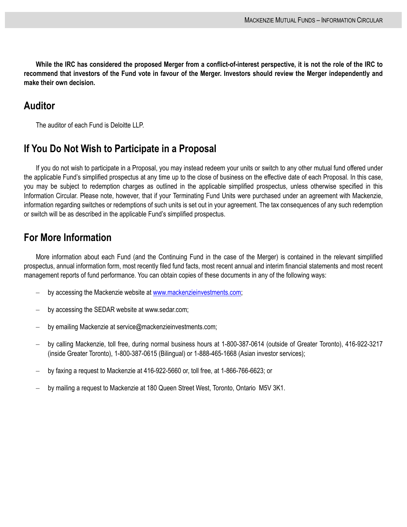**While the IRC has considered the proposed Merger from a conflict-of-interest perspective, it is not the role of the IRC to recommend that investors of the Fund vote in favour of the Merger. Investors should review the Merger independently and make their own decision.**

### <span id="page-29-0"></span>**Auditor**

The auditor of each Fund is Deloitte LLP.

### <span id="page-29-1"></span>**If You Do Not Wish to Participate in a Proposal**

If you do not wish to participate in a Proposal, you may instead redeem your units or switch to any other mutual fund offered under the applicable Fund's simplified prospectus at any time up to the close of business on the effective date of each Proposal. In this case, you may be subject to redemption charges as outlined in the applicable simplified prospectus, unless otherwise specified in this Information Circular. Please note, however, that if your Terminating Fund Units were purchased under an agreement with Mackenzie, information regarding switches or redemptions of such units is set out in your agreement. The tax consequences of any such redemption or switch will be as described in the applicable Fund's simplified prospectus.

### <span id="page-29-2"></span>**For More Information**

More information about each Fund (and the Continuing Fund in the case of the Merger) is contained in the relevant simplified prospectus, annual information form, most recently filed fund facts, most recent annual and interim financial statements and most recent management reports of fund performance. You can obtain copies of these documents in any of the following ways:

- by accessing the Mackenzie website at [www.mackenzieinvestments.com;](http://www.mackenzieinvestments.com/)
- by accessing the SEDAR website at www.sedar.com;
- by emailing Mackenzie at service@mackenzieinvestments.com;
- by calling Mackenzie, toll free, during normal business hours at 1-800-387-0614 (outside of Greater Toronto), 416-922-3217 (inside Greater Toronto), 1-800-387-0615 (Bilingual) or 1-888-465-1668 (Asian investor services);
- by faxing a request to Mackenzie at 416-922-5660 or, toll free, at 1-866-766-6623; or
- by mailing a request to Mackenzie at 180 Queen Street West, Toronto, Ontario M5V 3K1.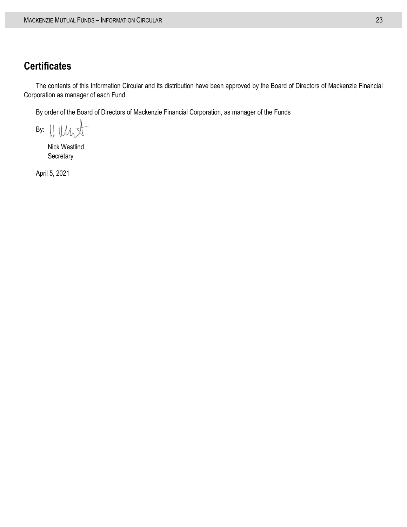# <span id="page-30-0"></span>**Certificates**

The contents of this Information Circular and its distribution have been approved by the Board of Directors of Mackenzie Financial Corporation as manager of each Fund.

By order of the Board of Directors of Mackenzie Financial Corporation, as manager of the Funds

By:

Nick Westlind **Secretary** 

April 5, 2021